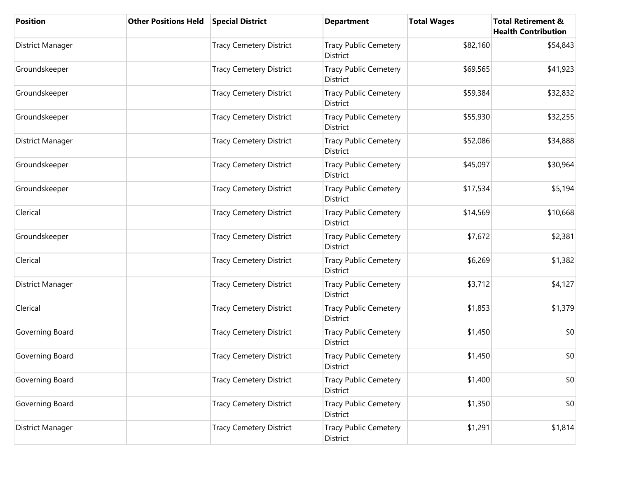| <b>Position</b>  | <b>Other Positions Held</b> | <b>Special District</b>        | <b>Department</b>                        | <b>Total Wages</b> | <b>Total Retirement &amp;</b><br><b>Health Contribution</b> |
|------------------|-----------------------------|--------------------------------|------------------------------------------|--------------------|-------------------------------------------------------------|
| District Manager |                             | <b>Tracy Cemetery District</b> | <b>Tracy Public Cemetery</b><br>District | \$82,160           | \$54,843                                                    |
| Groundskeeper    |                             | <b>Tracy Cemetery District</b> | <b>Tracy Public Cemetery</b><br>District | \$69,565           | \$41,923                                                    |
| Groundskeeper    |                             | <b>Tracy Cemetery District</b> | <b>Tracy Public Cemetery</b><br>District | \$59,384           | \$32,832                                                    |
| Groundskeeper    |                             | <b>Tracy Cemetery District</b> | <b>Tracy Public Cemetery</b><br>District | \$55,930           | \$32,255                                                    |
| District Manager |                             | <b>Tracy Cemetery District</b> | <b>Tracy Public Cemetery</b><br>District | \$52,086           | \$34,888                                                    |
| Groundskeeper    |                             | <b>Tracy Cemetery District</b> | Tracy Public Cemetery<br>District        | \$45,097           | \$30,964                                                    |
| Groundskeeper    |                             | <b>Tracy Cemetery District</b> | <b>Tracy Public Cemetery</b><br>District | \$17,534           | \$5,194                                                     |
| Clerical         |                             | <b>Tracy Cemetery District</b> | Tracy Public Cemetery<br><b>District</b> | \$14,569           | \$10,668                                                    |
| Groundskeeper    |                             | <b>Tracy Cemetery District</b> | <b>Tracy Public Cemetery</b><br>District | \$7,672            | \$2,381                                                     |
| Clerical         |                             | <b>Tracy Cemetery District</b> | <b>Tracy Public Cemetery</b><br>District | \$6,269            | \$1,382                                                     |
| District Manager |                             | <b>Tracy Cemetery District</b> | <b>Tracy Public Cemetery</b><br>District | \$3,712            | \$4,127                                                     |
| Clerical         |                             | <b>Tracy Cemetery District</b> | <b>Tracy Public Cemetery</b><br>District | \$1,853            | \$1,379                                                     |
| Governing Board  |                             | <b>Tracy Cemetery District</b> | <b>Tracy Public Cemetery</b><br>District | \$1,450            | \$0                                                         |
| Governing Board  |                             | <b>Tracy Cemetery District</b> | <b>Tracy Public Cemetery</b><br>District | \$1,450            | \$0                                                         |
| Governing Board  |                             | <b>Tracy Cemetery District</b> | <b>Tracy Public Cemetery</b><br>District | \$1,400            | \$0                                                         |
| Governing Board  |                             | <b>Tracy Cemetery District</b> | <b>Tracy Public Cemetery</b><br>District | \$1,350            | \$0                                                         |
| District Manager |                             | <b>Tracy Cemetery District</b> | <b>Tracy Public Cemetery</b><br>District | \$1,291            | \$1,814                                                     |